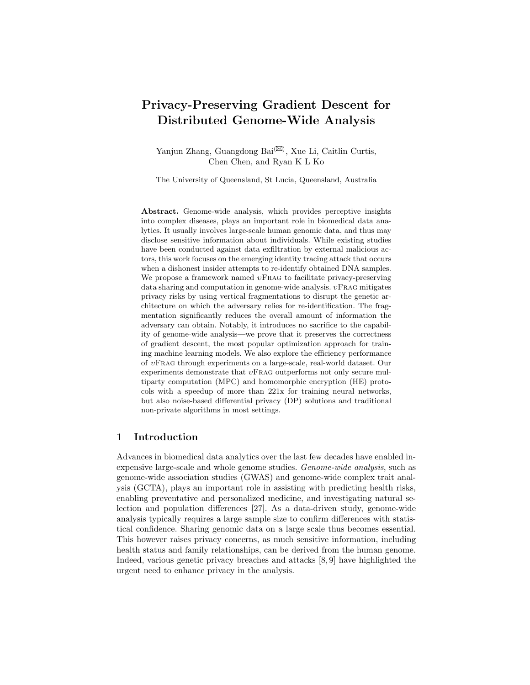# Privacy-Preserving Gradient Descent for Distributed Genome-Wide Analysis

Yanjun Zhang, Guangdong Bai $^{(\boxtimes)}$ , Xue Li, Caitlin Curtis, Chen Chen, and Ryan K L Ko

The University of Queensland, St Lucia, Queensland, Australia

Abstract. Genome-wide analysis, which provides perceptive insights into complex diseases, plays an important role in biomedical data analytics. It usually involves large-scale human genomic data, and thus may disclose sensitive information about individuals. While existing studies have been conducted against data exfiltration by external malicious actors, this work focuses on the emerging identity tracing attack that occurs when a dishonest insider attempts to re-identify obtained DNA samples. We propose a framework named  $vFRAG$  to facilitate privacy-preserving data sharing and computation in genome-wide analysis.  $v$ FRAG mitigates privacy risks by using vertical fragmentations to disrupt the genetic architecture on which the adversary relies for re-identification. The fragmentation significantly reduces the overall amount of information the adversary can obtain. Notably, it introduces no sacrifice to the capability of genome-wide analysis—we prove that it preserves the correctness of gradient descent, the most popular optimization approach for training machine learning models. We also explore the efficiency performance of υFrag through experiments on a large-scale, real-world dataset. Our experiments demonstrate that  $vFRAG$  outperforms not only secure multiparty computation (MPC) and homomorphic encryption (HE) protocols with a speedup of more than 221x for training neural networks, but also noise-based differential privacy (DP) solutions and traditional non-private algorithms in most settings.

# 1 Introduction

Advances in biomedical data analytics over the last few decades have enabled inexpensive large-scale and whole genome studies. Genome-wide analysis, such as genome-wide association studies (GWAS) and genome-wide complex trait analysis (GCTA), plays an important role in assisting with predicting health risks, enabling preventative and personalized medicine, and investigating natural selection and population differences [27]. As a data-driven study, genome-wide analysis typically requires a large sample size to confirm differences with statistical confidence. Sharing genomic data on a large scale thus becomes essential. This however raises privacy concerns, as much sensitive information, including health status and family relationships, can be derived from the human genome. Indeed, various genetic privacy breaches and attacks [8, 9] have highlighted the urgent need to enhance privacy in the analysis.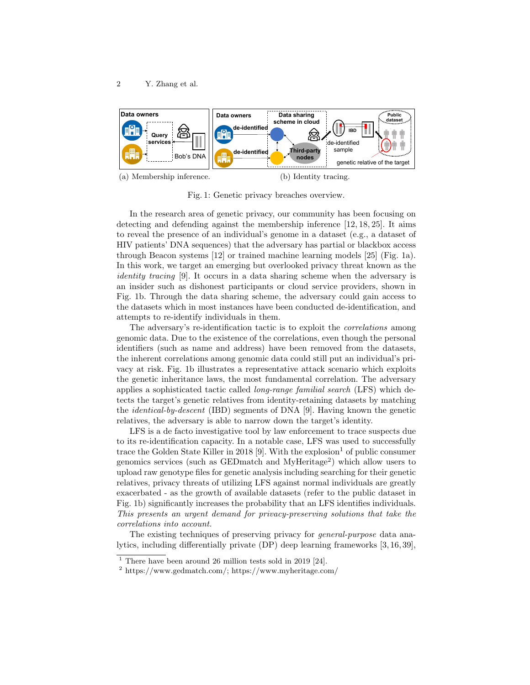

(a) Membership inference.

(b) Identity tracing.

Fig. 1: Genetic privacy breaches overview.

In the research area of genetic privacy, our community has been focusing on detecting and defending against the membership inference [12, 18, 25]. It aims to reveal the presence of an individual's genome in a dataset (e.g., a dataset of HIV patients' DNA sequences) that the adversary has partial or blackbox access through Beacon systems [12] or trained machine learning models [25] (Fig. 1a). In this work, we target an emerging but overlooked privacy threat known as the identity tracing [9]. It occurs in a data sharing scheme when the adversary is an insider such as dishonest participants or cloud service providers, shown in Fig. 1b. Through the data sharing scheme, the adversary could gain access to the datasets which in most instances have been conducted de-identification, and attempts to re-identify individuals in them.

The adversary's re-identification tactic is to exploit the correlations among genomic data. Due to the existence of the correlations, even though the personal identifiers (such as name and address) have been removed from the datasets, the inherent correlations among genomic data could still put an individual's privacy at risk. Fig. 1b illustrates a representative attack scenario which exploits the genetic inheritance laws, the most fundamental correlation. The adversary applies a sophisticated tactic called long-range familial search (LFS) which detects the target's genetic relatives from identity-retaining datasets by matching the identical-by-descent (IBD) segments of DNA [9]. Having known the genetic relatives, the adversary is able to narrow down the target's identity.

LFS is a de facto investigative tool by law enforcement to trace suspects due to its re-identification capacity. In a notable case, LFS was used to successfully trace the Golden State Killer in 2018 [9]. With the explosion  $1$  of public consumer genomics services (such as GEDmatch and MyHeritage<sup>2</sup> ) which allow users to upload raw genotype files for genetic analysis including searching for their genetic relatives, privacy threats of utilizing LFS against normal individuals are greatly exacerbated - as the growth of available datasets (refer to the public dataset in Fig. 1b) significantly increases the probability that an LFS identifies individuals. This presents an urgent demand for privacy-preserving solutions that take the correlations into account.

The existing techniques of preserving privacy for *general-purpose* data analytics, including differentially private (DP) deep learning frameworks [3, 16, 39],

 $1$  There have been around 26 million tests sold in 2019 [24].

<sup>2</sup> https://www.gedmatch.com/; https://www.myheritage.com/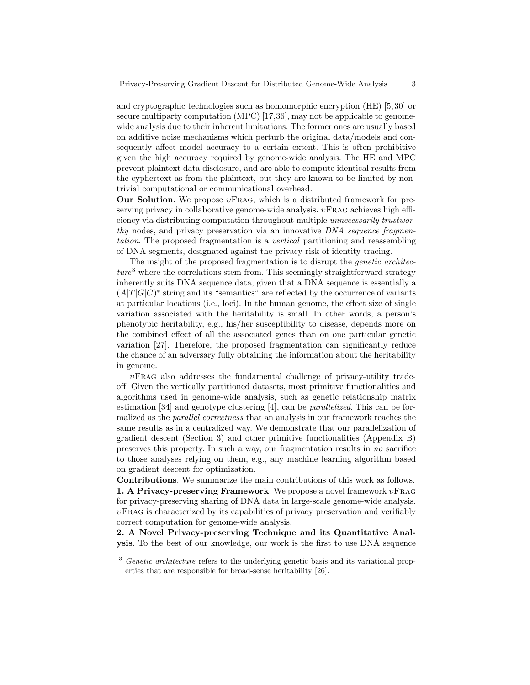and cryptographic technologies such as homomorphic encryption (HE) [5, 30] or secure multiparty computation (MPC) [17,36], may not be applicable to genomewide analysis due to their inherent limitations. The former ones are usually based on additive noise mechanisms which perturb the original data/models and consequently affect model accuracy to a certain extent. This is often prohibitive given the high accuracy required by genome-wide analysis. The HE and MPC prevent plaintext data disclosure, and are able to compute identical results from the cyphertext as from the plaintext, but they are known to be limited by nontrivial computational or communicational overhead.

Our Solution. We propose  $v\text{FRAG}$ , which is a distributed framework for preserving privacy in collaborative genome-wide analysis.  $vFRAG$  achieves high efficiency via distributing computation throughout multiple unnecessarily trustworthy nodes, and privacy preservation via an innovative DNA sequence fragmentation. The proposed fragmentation is a vertical partitioning and reassembling of DNA segments, designated against the privacy risk of identity tracing.

The insight of the proposed fragmentation is to disrupt the *genetic architec* $ture<sup>3</sup>$  where the correlations stem from. This seemingly straightforward strategy inherently suits DNA sequence data, given that a DNA sequence is essentially a  $(A|T|G|C)^*$  string and its "semantics" are reflected by the occurrence of variants at particular locations (i.e., loci). In the human genome, the effect size of single variation associated with the heritability is small. In other words, a person's phenotypic heritability, e.g., his/her susceptibility to disease, depends more on the combined effect of all the associated genes than on one particular genetic variation [27]. Therefore, the proposed fragmentation can significantly reduce the chance of an adversary fully obtaining the information about the heritability in genome.

 $vFRAG$  also addresses the fundamental challenge of privacy-utility tradeoff. Given the vertically partitioned datasets, most primitive functionalities and algorithms used in genome-wide analysis, such as genetic relationship matrix estimation [34] and genotype clustering [4], can be parallelized. This can be formalized as the parallel correctness that an analysis in our framework reaches the same results as in a centralized way. We demonstrate that our parallelization of gradient descent (Section 3) and other primitive functionalities (Appendix B) preserves this property. In such a way, our fragmentation results in no sacrifice to those analyses relying on them, e.g., any machine learning algorithm based on gradient descent for optimization.

Contributions. We summarize the main contributions of this work as follows. 1. A Privacy-preserving Framework. We propose a novel framework  $v$ FRAG for privacy-preserving sharing of DNA data in large-scale genome-wide analysis.  $v$ FRAG is characterized by its capabilities of privacy preservation and verifiably correct computation for genome-wide analysis.

2. A Novel Privacy-preserving Technique and its Quantitative Analysis. To the best of our knowledge, our work is the first to use DNA sequence

<sup>&</sup>lt;sup>3</sup> Genetic architecture refers to the underlying genetic basis and its variational properties that are responsible for broad-sense heritability [26].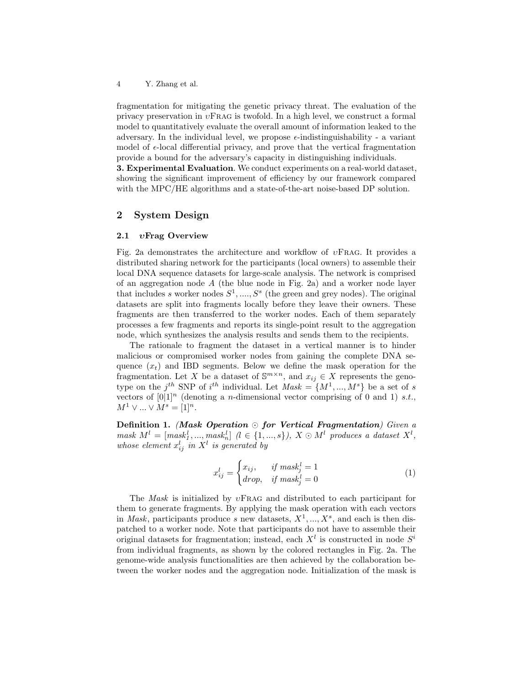fragmentation for mitigating the genetic privacy threat. The evaluation of the privacy preservation in  $vFRAG$  is twofold. In a high level, we construct a formal model to quantitatively evaluate the overall amount of information leaked to the adversary. In the individual level, we propose  $\epsilon$ -indistinguishability - a variant model of  $\epsilon$ -local differential privacy, and prove that the vertical fragmentation provide a bound for the adversary's capacity in distinguishing individuals.

3. Experimental Evaluation. We conduct experiments on a real-world dataset, showing the significant improvement of efficiency by our framework compared with the MPC/HE algorithms and a state-of-the-art noise-based DP solution.

# 2 System Design

### 2.1 *v*Frag Overview

Fig. 2a demonstrates the architecture and workflow of  $vFRAG$ . It provides a distributed sharing network for the participants (local owners) to assemble their local DNA sequence datasets for large-scale analysis. The network is comprised of an aggregation node  $A$  (the blue node in Fig. 2a) and a worker node layer that includes s worker nodes  $S^1, \ldots, S^s$  (the green and grey nodes). The original datasets are split into fragments locally before they leave their owners. These fragments are then transferred to the worker nodes. Each of them separately processes a few fragments and reports its single-point result to the aggregation node, which synthesizes the analysis results and sends them to the recipients.

The rationale to fragment the dataset in a vertical manner is to hinder malicious or compromised worker nodes from gaining the complete DNA sequence  $(x_t)$  and IBD segments. Below we define the mask operation for the fragmentation. Let X be a dataset of  $\mathbb{S}^{m \times n}$ , and  $x_{ij} \in X$  represents the genotype on the j<sup>th</sup> SNP of i<sup>th</sup> individual. Let  $Mask = \{M^1, ..., M^s\}$  be a set of s vectors of  $[0]1<sup>n</sup>$  (denoting a *n*-dimensional vector comprising of 0 and 1) *s.t.*,  $M^1 \vee ... \vee M^s = [1]^n$ .

Definition 1. (Mask Operation  $\odot$  for Vertical Fragmentation) Given a  $mask\ M^{l} = [mask_{1}^{l}, ..., mask_{n}^{l}] \ (l \in \{1, ..., s\}), \ X \odot M^{l} \ produces \ a \ dataset \ X^{l},$ whose element  $x_{ij}^l$  in  $X^l$  is generated by

$$
x_{ij}^l = \begin{cases} x_{ij}, & \text{if } mask_j^l = 1\\ drop, & \text{if } mask_j^l = 0 \end{cases}
$$
 (1)

The Mask is initialized by  $vFRAG$  and distributed to each participant for them to generate fragments. By applying the mask operation with each vectors in *Mask*, participants produce s new datasets,  $X^1, ..., X^s$ , and each is then dispatched to a worker node. Note that participants do not have to assemble their original datasets for fragmentation; instead, each  $X<sup>l</sup>$  is constructed in node  $S<sup>i</sup>$ from individual fragments, as shown by the colored rectangles in Fig. 2a. The genome-wide analysis functionalities are then achieved by the collaboration between the worker nodes and the aggregation node. Initialization of the mask is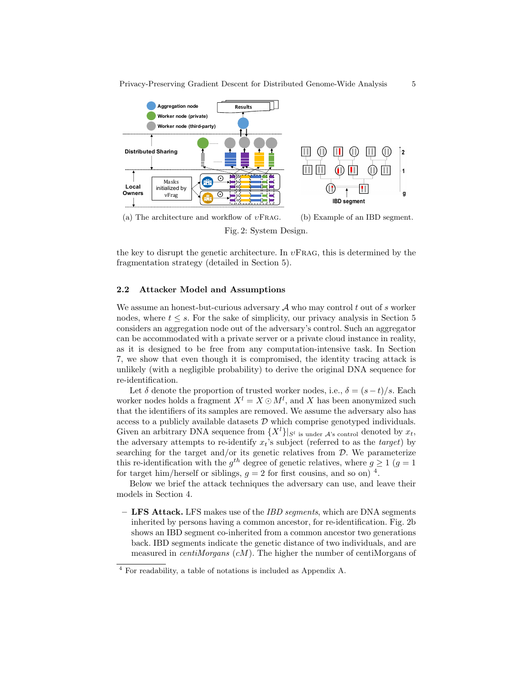

Fig. 2: System Design.

the key to disrupt the genetic architecture. In  $v\text{FRAG}$ , this is determined by the fragmentation strategy (detailed in Section 5).

### 2.2 Attacker Model and Assumptions

We assume an honest-but-curious adversary  $A$  who may control t out of s worker nodes, where  $t \leq s$ . For the sake of simplicity, our privacy analysis in Section 5 considers an aggregation node out of the adversary's control. Such an aggregator can be accommodated with a private server or a private cloud instance in reality, as it is designed to be free from any computation-intensive task. In Section 7, we show that even though it is compromised, the identity tracing attack is unlikely (with a negligible probability) to derive the original DNA sequence for re-identification.

Let  $\delta$  denote the proportion of trusted worker nodes, i.e.,  $\delta = (s-t)/s$ . Each worker nodes holds a fragment  $X^l = X \odot M^l$ , and X has been anonymized such that the identifiers of its samples are removed. We assume the adversary also has access to a publicly available datasets  $D$  which comprise genotyped individuals. Given an arbitrary DNA sequence from  $\{X^l\}|_{S^l}$  is under  $A$ 's control denoted by  $x_t$ , the adversary attempts to re-identify  $x_t$ 's subject (referred to as the *target*) by searching for the target and/or its genetic relatives from  $D$ . We parameterize this re-identification with the  $g^{th}$  degree of genetic relatives, where  $g \ge 1$  ( $g = 1$ ) for target him/herself or siblings,  $g = 2$  for first cousins, and so on)<sup>4</sup>.

Below we brief the attack techniques the adversary can use, and leave their models in Section 4.

 $-$  LFS Attack. LFS makes use of the *IBD segments*, which are DNA segments inherited by persons having a common ancestor, for re-identification. Fig. 2b shows an IBD segment co-inherited from a common ancestor two generations back. IBD segments indicate the genetic distance of two individuals, and are measured in *centiMorgans*  $(cM)$ . The higher the number of centiMorgans of

<sup>4</sup> For readability, a table of notations is included as Appendix A.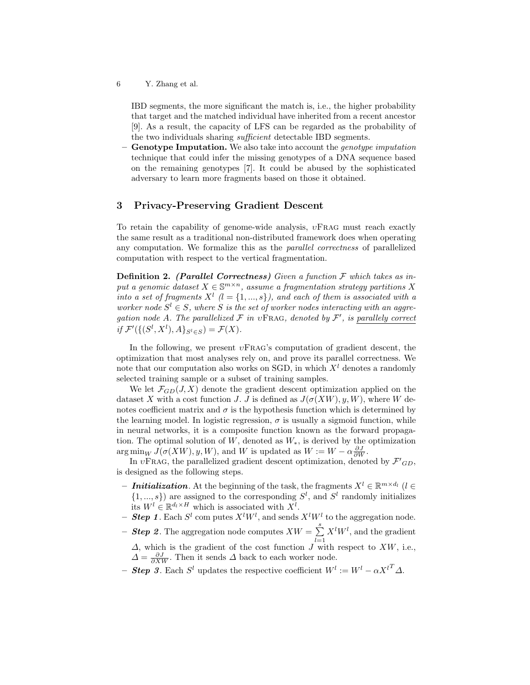IBD segments, the more significant the match is, i.e., the higher probability that target and the matched individual have inherited from a recent ancestor [9]. As a result, the capacity of LFS can be regarded as the probability of the two individuals sharing sufficient detectable IBD segments.

Genotype Imputation. We also take into account the *genotype imputation* technique that could infer the missing genotypes of a DNA sequence based on the remaining genotypes [7]. It could be abused by the sophisticated adversary to learn more fragments based on those it obtained.

### 3 Privacy-Preserving Gradient Descent

To retain the capability of genome-wide analysis,  $vFRAG$  must reach exactly the same result as a traditional non-distributed framework does when operating any computation. We formalize this as the *parallel correctness* of parallelized computation with respect to the vertical fragmentation.

**Definition 2.** (Parallel Correctness) Given a function  $\mathcal F$  which takes as input a genomic dataset  $X \in \mathbb{S}^{m \times n}$ , assume a fragmentation strategy partitions X into a set of fragments  $X^l$  ( $l = \{1, ..., s\}$ ), and each of them is associated with a worker node  $S^l \in S$ , where S is the set of worker nodes interacting with an aggregation node A. The parallelized  $\mathcal F$  in vFRAG, denoted by  $\mathcal F'$ , is parallely correct if  $\mathcal{F}'(\{(S^l, X^l), A\}_{S^l \in S}) = \mathcal{F}(X)$ .

In the following, we present  $v\text{FRAG's computation of gradient descent, the}$ optimization that most analyses rely on, and prove its parallel correctness. We note that our computation also works on SGD, in which  $X<sup>l</sup>$  denotes a randomly selected training sample or a subset of training samples.

We let  $\mathcal{F}_{GD}(J, X)$  denote the gradient descent optimization applied on the dataset X with a cost function J. J is defined as  $J(\sigma(XW), y, W)$ , where W denotes coefficient matrix and  $\sigma$  is the hypothesis function which is determined by the learning model. In logistic regression,  $\sigma$  is usually a sigmoid function, while in neural networks, it is a composite function known as the forward propagation. The optimal solution of W, denoted as  $W_*$ , is derived by the optimization  $\arg\min_W J(\sigma(XW), y, W)$ , and W is updated as  $W := W - \alpha \frac{\partial J}{\partial W}$ .

In  $v\text{FRAG}$ , the parallelized gradient descent optimization, denoted by  $\mathcal{F'}_{GD}$ , is designed as the following steps.

- **Initialization**. At the beginning of the task, the fragments  $X^l \in \mathbb{R}^{m \times d_l}$  ( $l \in$  $\{1, ..., s\}$  are assigned to the corresponding  $S<sup>l</sup>$ , and  $S<sup>l</sup>$  randomly initializes its  $W^l \in \mathbb{R}^{d_l \times H}$  which is associated with  $X^l$ .
- **Step 1**. Each  $S^l$  com putes  $X^lW^l$ , and sends  $X^lW^l$  to the aggregation node.
- **Step 2**. The aggregation node computes  $XW = \sum_{n=1}^{s} X_n$  $_{l=1}$  $X^lW^l$ , and the gradient  $\Delta$ , which is the gradient of the cost function  $J$  with respect to  $XW$ , i.e.,  $\Delta = \frac{\partial J}{\partial XW}$ . Then it sends  $\Delta$  back to each worker node.
- **Step 3**. Each  $S^l$  updates the respective coefficient  $W^l := W^l \alpha X^{lT} \Delta$ .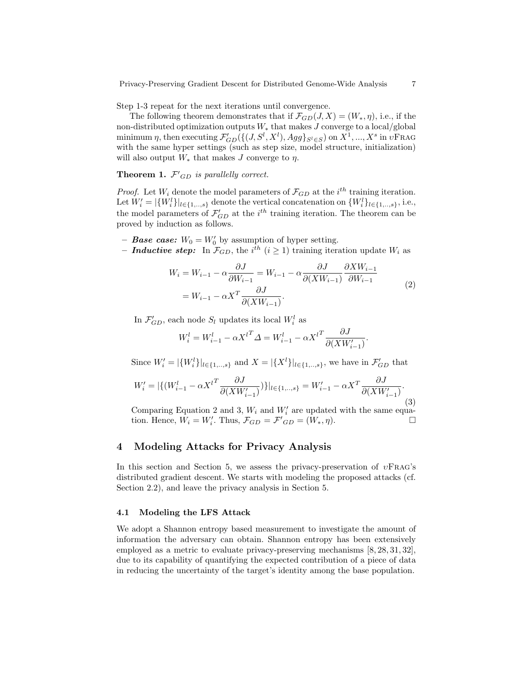Step 1-3 repeat for the next iterations until convergence.

The following theorem demonstrates that if  $\mathcal{F}_{GD}(J, X) = (W_*, \eta)$ , i.e., if the non-distributed optimization outputs  $W_*$  that makes  $J$  converge to a local/global minimum η, then executing  $\mathcal{F}_{GD}'(\{(J, S^l, X^l), Agg\}_{S^l \in S})$  on  $X^1,...,X^s$  in  $v\text{FRAG}$ with the same hyper settings (such as step size, model structure, initialization) will also output  $W_*$  that makes J converge to  $\eta$ .

**Theorem 1.**  $\mathcal{F}'_{GD}$  is parallelly correct.

*Proof.* Let  $W_i$  denote the model parameters of  $\mathcal{F}_{GD}$  at the i<sup>th</sup> training iteration. Let  $W_i' = |\{W_i^l\}|_{l \in \{1,\ldots,s\}}$  denote the vertical concatenation on  $\{W_i^l\}_{l \in \{1,\ldots,s\}}$ , i.e., the model parameters of  $\mathcal{F}'_{GD}$  at the  $i^{th}$  training iteration. The theorem can be proved by induction as follows.

- **Base case:**  $W_0 = W'_0$  by assumption of hyper setting.
- **Inductive step:** In  $\mathcal{F}_{GD}$ , the i<sup>th</sup> (i  $\geq$  1) training iteration update  $W_i$  as

$$
W_i = W_{i-1} - \alpha \frac{\partial J}{\partial W_{i-1}} = W_{i-1} - \alpha \frac{\partial J}{\partial (X W_{i-1})} \frac{\partial X W_{i-1}}{\partial W_{i-1}}
$$
  
=  $W_{i-1} - \alpha X^T \frac{\partial J}{\partial (X W_{i-1})}$ . (2)

In  $\mathcal{F}_{GD}$ , each node  $S_l$  updates its local  $W_i^l$  as

$$
W_i^l = W_{i-1}^l - \alpha X^{l^T} \Delta = W_{i-1}^l - \alpha X^{l^T} \frac{\partial J}{\partial (X W_{i-1}')}.
$$

Since  $W'_i = |\{W_i^l\}|_{l \in \{1, ..., s\}}$  and  $X = |\{X^l\}|_{l \in \{1, ..., s\}}$ , we have in  $\mathcal{F}'_{GD}$  that

$$
W'_{i} = |\{(W_{i-1}^{l} - \alpha X^{l^{T}} \frac{\partial J}{\partial (X W'_{i-1})})\}|_{l \in \{1, \dots, s\}} = W'_{i-1} - \alpha X^{T} \frac{\partial J}{\partial (X W'_{i-1})}.
$$
\n(3)

Comparing Equation 2 and 3,  $W_i$  and  $W'_i$  are updated with the same equation. Hence,  $W_i = W'_i$ . Thus,  $\mathcal{F}_{GD} = \mathcal{F'}_{GD} = (W_*, \eta)$ .

# 4 Modeling Attacks for Privacy Analysis

In this section and Section 5, we assess the privacy-preservation of  $vFRAG's$ distributed gradient descent. We starts with modeling the proposed attacks (cf. Section 2.2), and leave the privacy analysis in Section 5.

### 4.1 Modeling the LFS Attack

We adopt a Shannon entropy based measurement to investigate the amount of information the adversary can obtain. Shannon entropy has been extensively employed as a metric to evaluate privacy-preserving mechanisms [8, 28, 31, 32], due to its capability of quantifying the expected contribution of a piece of data in reducing the uncertainty of the target's identity among the base population.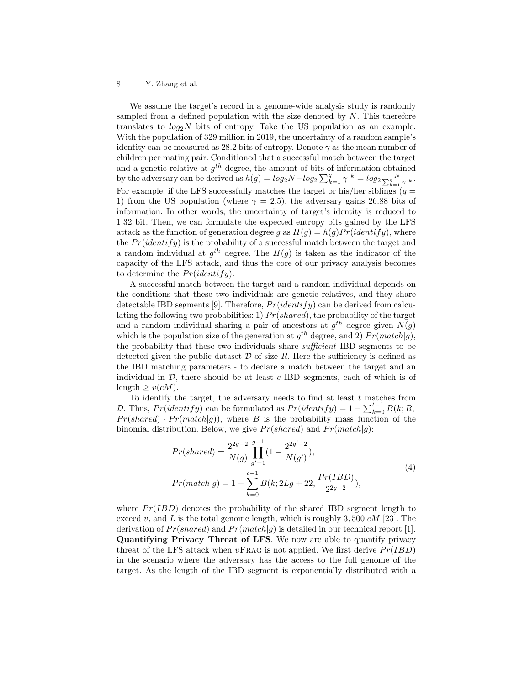We assume the target's record in a genome-wide analysis study is randomly sampled from a defined population with the size denoted by  $N$ . This therefore translates to  $log_2N$  bits of entropy. Take the US population as an example. With the population of 329 million in 2019, the uncertainty of a random sample's identity can be measured as 28.2 bits of entropy. Denote  $\gamma$  as the mean number of children per mating pair. Conditioned that a successful match between the target and a genetic relative at  $g^{th}$  degree, the amount of bits of information obtained by the adversary can be derived as  $h(g) = log_2 N - log_2 \sum_{k=1}^{g} \gamma^k = log_2 \frac{N}{\sum_{k=1}^{g} \gamma^k}$ . For example, if the LFS successfully matches the target or his/her siblings  $(g =$ 1) from the US population (where  $\gamma = 2.5$ ), the adversary gains 26.88 bits of information. In other words, the uncertainty of target's identity is reduced to 1.32 bit. Then, we can formulate the expected entropy bits gained by the LFS attack as the function of generation degree g as  $H(q) = h(q)Pr(identity)$ , where the  $Pr(identity)$  is the probability of a successful match between the target and a random individual at  $g^{th}$  degree. The  $H(g)$  is taken as the indicator of the capacity of the LFS attack, and thus the core of our privacy analysis becomes to determine the  $Pr(identify)$ .

A successful match between the target and a random individual depends on the conditions that these two individuals are genetic relatives, and they share detectable IBD segments [9]. Therefore,  $Pr(identity)$  can be derived from calculating the following two probabilities: 1)  $Pr(shared)$ , the probability of the target and a random individual sharing a pair of ancestors at  $g^{th}$  degree given  $N(g)$ which is the population size of the generation at  $g^{th}$  degree, and 2)  $Pr(match|g)$ , the probability that these two individuals share sufficient IBD segments to be detected given the public dataset  $D$  of size  $R$ . Here the sufficiency is defined as the IBD matching parameters - to declare a match between the target and an individual in  $D$ , there should be at least c IBD segments, each of which is of  $length \geq v(cM)$ .

To identify the target, the adversary needs to find at least  $t$  matches from D. Thus,  $Pr(identity)$  can be formulated as  $Pr(identity) = 1 - \sum_{k=0}^{t-1} B(k; R,$  $Pr(shared) \cdot Pr(match|g)$ , where B is the probability mass function of the binomial distribution. Below, we give  $Pr(shared)$  and  $Pr(match|q)$ :

$$
Pr(shared) = \frac{2^{2g-2}}{N(g)} \prod_{g'=1}^{g-1} (1 - \frac{2^{2g'-2}}{N(g')}),
$$
  
\n
$$
Pr(match|g) = 1 - \sum_{k=0}^{c-1} B(k; 2Lg + 22, \frac{Pr(IBD)}{2^{2g-2}}),
$$
\n(4)

where  $Pr(IBD)$  denotes the probability of the shared IBD segment length to exceed v, and L is the total genome length, which is roughly 3, 500  $cM$  [23]. The derivation of  $Pr(shared)$  and  $Pr(match|q)$  is detailed in our technical report [1]. Quantifying Privacy Threat of LFS. We now are able to quantify privacy threat of the LFS attack when  $v\text{FRAG}$  is not applied. We first derive  $Pr(IBD)$ in the scenario where the adversary has the access to the full genome of the target. As the length of the IBD segment is exponentially distributed with a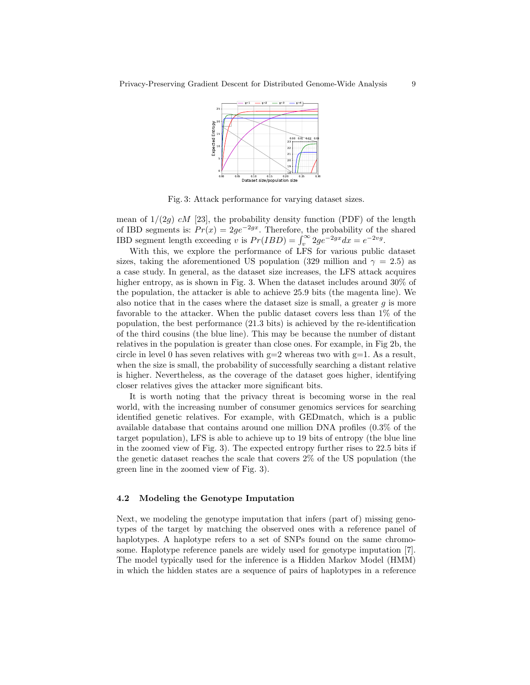

Fig. 3: Attack performance for varying dataset sizes.

mean of  $1/(2q)$  cM [23], the probability density function (PDF) of the length of IBD segments is:  $Pr(x) = 2ge^{-2gx}$ . Therefore, the probability of the shared IBD segment length exceeding v is  $Pr(IDD) = \int_v^{\infty} 2ge^{-2gx} dx = e^{-2vg}$ .

With this, we explore the performance of LFS for various public dataset sizes, taking the aforementioned US population (329 million and  $\gamma = 2.5$ ) as a case study. In general, as the dataset size increases, the LFS attack acquires higher entropy, as is shown in Fig. 3. When the dataset includes around  $30\%$  of the population, the attacker is able to achieve 25.9 bits (the magenta line). We also notice that in the cases where the dataset size is small, a greater  $g$  is more favorable to the attacker. When the public dataset covers less than 1% of the population, the best performance (21.3 bits) is achieved by the re-identification of the third cousins (the blue line). This may be because the number of distant relatives in the population is greater than close ones. For example, in Fig 2b, the circle in level 0 has seven relatives with  $g=2$  whereas two with  $g=1$ . As a result, when the size is small, the probability of successfully searching a distant relative is higher. Nevertheless, as the coverage of the dataset goes higher, identifying closer relatives gives the attacker more significant bits.

It is worth noting that the privacy threat is becoming worse in the real world, with the increasing number of consumer genomics services for searching identified genetic relatives. For example, with GEDmatch, which is a public available database that contains around one million DNA profiles (0.3% of the target population), LFS is able to achieve up to 19 bits of entropy (the blue line in the zoomed view of Fig. 3). The expected entropy further rises to 22.5 bits if the genetic dataset reaches the scale that covers 2% of the US population (the green line in the zoomed view of Fig. 3).

### 4.2 Modeling the Genotype Imputation

Next, we modeling the genotype imputation that infers (part of) missing genotypes of the target by matching the observed ones with a reference panel of haplotypes. A haplotype refers to a set of SNPs found on the same chromosome. Haplotype reference panels are widely used for genotype imputation [7]. The model typically used for the inference is a Hidden Markov Model (HMM) in which the hidden states are a sequence of pairs of haplotypes in a reference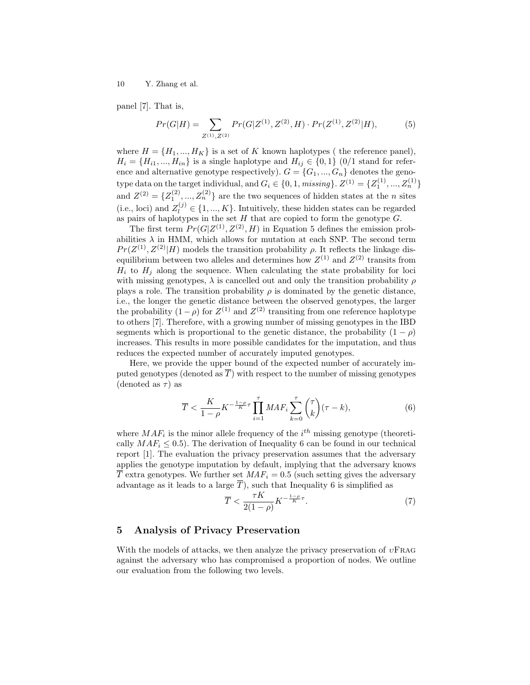panel [7]. That is,

$$
Pr(G|H) = \sum_{Z^{(1)}, Z^{(2)}} Pr(G|Z^{(1)}, Z^{(2)}, H) \cdot Pr(Z^{(1)}, Z^{(2)}|H),
$$
 (5)

where  $H = \{H_1, ..., H_K\}$  is a set of K known haplotypes (the reference panel),  $H_i = \{H_{i1},..., H_{in}\}\$ is a single haplotype and  $H_{ij} \in \{0,1\}$  (0/1 stand for reference and alternative genotype respectively).  $G = \{G_1, ..., G_n\}$  denotes the genotype data on the target individual, and  $G_i \in \{0, 1, \text{missing}\}\$ .  $Z^{(1)} = \{Z_1^{(1)}, ..., Z_n^{(1)}\}$ and  $Z^{(2)} = \{Z_1^{(2)},..., Z_n^{(2)}\}$  are the two sequences of hidden states at the *n* sites (i.e., loci) and  $Z_l^{(j)} \in \{1, ..., K\}$ . Intuitively, these hidden states can be regarded as pairs of haplotypes in the set  $H$  that are copied to form the genotype  $G$ .

The first term  $Pr(G|Z^{(1)}, Z^{(2)}, H)$  in Equation 5 defines the emission probabilities  $\lambda$  in HMM, which allows for mutation at each SNP. The second term  $Pr(Z^{(1)}, Z^{(2)}|H)$  models the transition probability  $\rho$ . It reflects the linkage disequilibrium between two alleles and determines how  $Z^{(1)}$  and  $Z^{(2)}$  transits from  $H_i$  to  $H_j$  along the sequence. When calculating the state probability for loci with missing genotypes,  $\lambda$  is cancelled out and only the transition probability  $\rho$ plays a role. The transition probability  $\rho$  is dominated by the genetic distance, i.e., the longer the genetic distance between the observed genotypes, the larger the probability  $(1 - \rho)$  for  $Z^{(1)}$  and  $Z^{(2)}$  transiting from one reference haplotype to others [7]. Therefore, with a growing number of missing genotypes in the IBD segments which is proportional to the genetic distance, the probability  $(1 - \rho)$ increases. This results in more possible candidates for the imputation, and thus reduces the expected number of accurately imputed genotypes.

Here, we provide the upper bound of the expected number of accurately imputed genotypes (denoted as  $\overline{T}$ ) with respect to the number of missing genotypes (denoted as  $\tau$ ) as

$$
\overline{T} < \frac{K}{1-\rho} K^{-\frac{1-\rho}{K}\tau} \prod_{i=1}^{\tau} MAF_i \sum_{k=0}^{\tau} \binom{\tau}{k} (\tau - k),\tag{6}
$$

where  $MAF_i$  is the minor allele frequency of the  $i<sup>th</sup>$  missing genotype (theoretically  $MAF_i \leq 0.5$ . The derivation of Inequality 6 can be found in our technical report [1]. The evaluation the privacy preservation assumes that the adversary applies the genotype imputation by default, implying that the adversary knows  $\overline{T}$  extra genotypes. We further set  $MAF_i = 0.5$  (such setting gives the adversary advantage as it leads to a large  $\overline{T}$ ), such that Inequality 6 is simplified as

$$
\overline{T} < \frac{\tau K}{2(1-\rho)} K^{-\frac{1-\rho}{K}\tau}.\tag{7}
$$

### 5 Analysis of Privacy Preservation

With the models of attacks, we then analyze the privacy preservation of  $vFRAG$ against the adversary who has compromised a proportion of nodes. We outline our evaluation from the following two levels.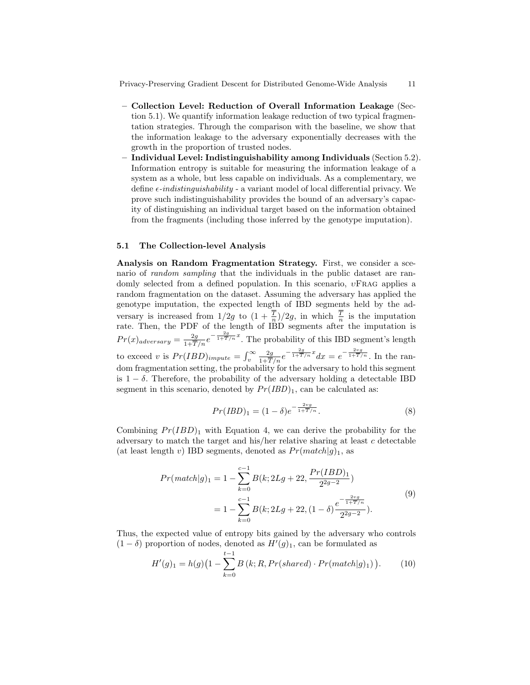Privacy-Preserving Gradient Descent for Distributed Genome-Wide Analysis 11

- Collection Level: Reduction of Overall Information Leakage (Section 5.1). We quantify information leakage reduction of two typical fragmentation strategies. Through the comparison with the baseline, we show that the information leakage to the adversary exponentially decreases with the growth in the proportion of trusted nodes.
- Individual Level: Indistinguishability among Individuals (Section 5.2). Information entropy is suitable for measuring the information leakage of a system as a whole, but less capable on individuals. As a complementary, we define  $\epsilon$ -indistinguishability - a variant model of local differential privacy. We prove such indistinguishability provides the bound of an adversary's capacity of distinguishing an individual target based on the information obtained from the fragments (including those inferred by the genotype imputation).

#### 5.1 The Collection-level Analysis

Analysis on Random Fragmentation Strategy. First, we consider a scenario of *random sampling* that the individuals in the public dataset are randomly selected from a defined population. In this scenario,  $v$ FRAG applies a random fragmentation on the dataset. Assuming the adversary has applied the genotype imputation, the expected length of IBD segments held by the adversary is increased from  $1/2g$  to  $(1+\frac{T}{n})/2g$ , in which  $\frac{T}{n}$  is the imputation rate. Then, the PDF of the length of IBD segments after the imputation is  $Pr(x)_{adversary} = \frac{2g}{1+\overline{T}/n}e^{-\frac{2g}{1+\overline{T}/n}x}$ . The probability of this IBD segment's length to exceed v is  $Pr(IBD)_{impute} = \int_v^{\infty} \frac{2g}{1+\overline{T}/n} e^{-\frac{2g}{1+\overline{T}/n}x} dx = e^{-\frac{2vg}{1+\overline{T}/n}}$ . In the random fragmentation setting, the probability for the adversary to hold this segment is  $1 - \delta$ . Therefore, the probability of the adversary holding a detectable IBD segment in this scenario, denoted by  $Pr(IBD)_1$ , can be calculated as:

$$
Pr(IBD)_1 = (1 - \delta)e^{-\frac{2vg}{1 + \overline{T}/n}}.
$$
\n(8)

Combining  $Pr(IBD)$ <sub>1</sub> with Equation 4, we can derive the probability for the adversary to match the target and his/her relative sharing at least  $c$  detectable (at least length v) IBD segments, denoted as  $Pr(match|g)_{1}$ , as

$$
Pr(match|g)_{1} = 1 - \sum_{k=0}^{c-1} B(k; 2Lg + 22, \frac{Pr(IBD)_{1}}{2^{2g-2}})
$$
  
= 
$$
1 - \sum_{k=0}^{c-1} B(k; 2Lg + 22, (1 - \delta) \frac{e^{-\frac{2vg}{1 + \overline{T}/n}}}{2^{2g-2}}).
$$
 (9)

Thus, the expected value of entropy bits gained by the adversary who controls  $(1 - \delta)$  proportion of nodes, denoted as  $H'(g)$ <sub>1</sub>, can be formulated as

$$
H'(g)_1 = h(g) \left(1 - \sum_{k=0}^{t-1} B(k; R, Pr(shared) \cdot Pr(match|g)_1)\right). \tag{10}
$$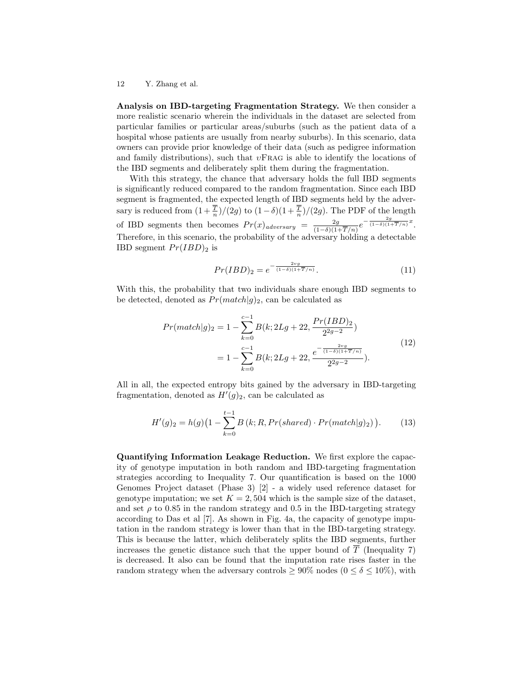Analysis on IBD-targeting Fragmentation Strategy. We then consider a more realistic scenario wherein the individuals in the dataset are selected from particular families or particular areas/suburbs (such as the patient data of a hospital whose patients are usually from nearby suburbs). In this scenario, data owners can provide prior knowledge of their data (such as pedigree information and family distributions), such that  $vFRAG$  is able to identify the locations of the IBD segments and deliberately split them during the fragmentation.

With this strategy, the chance that adversary holds the full IBD segments is significantly reduced compared to the random fragmentation. Since each IBD segment is fragmented, the expected length of IBD segments held by the adversary is reduced from  $(1+\frac{T}{n})/(2g)$  to  $(1-\delta)(1+\frac{T}{n})/(2g)$ . The PDF of the length of IBD segments then becomes  $Pr(x)_{adversary} = \frac{2g}{(1-\delta)(1-\delta)}$  $\frac{2g}{(1-\delta)(1+\overline{T}/n)}e^{-\frac{2g}{(1-\delta)(1+\overline{T}/n)}x}.$ Therefore, in this scenario, the probability of the adversary holding a detectable IBD segment  $Pr(IBD)_2$  is

$$
Pr(IBD)_2 = e^{-\frac{2vg}{(1-\delta)(1+\overline{T}/n)}}.\t(11)
$$

With this, the probability that two individuals share enough IBD segments to be detected, denoted as  $Pr(match|g)_2$ , can be calculated as

$$
Pr(match|g)_{2} = 1 - \sum_{k=0}^{c-1} B(k; 2Lg + 22, \frac{Pr(IBD)_{2}}{2^{2g-2}})
$$
  
= 
$$
1 - \sum_{k=0}^{c-1} B(k; 2Lg + 22, \frac{e^{-\frac{2vg}{(1-\delta)(1+\overline{T}/n)}}}{2^{2g-2}}).
$$
 (12)

All in all, the expected entropy bits gained by the adversary in IBD-targeting fragmentation, denoted as  $H'(g)_2$ , can be calculated as

$$
H'(g)_2 = h(g) \left(1 - \sum_{k=0}^{t-1} B(k; R, Pr(shared) \cdot Pr(match|g)_2)\right).
$$
 (13)

Quantifying Information Leakage Reduction. We first explore the capacity of genotype imputation in both random and IBD-targeting fragmentation strategies according to Inequality 7. Our quantification is based on the 1000 Genomes Project dataset (Phase 3) [2] - a widely used reference dataset for genotype imputation; we set  $K = 2,504$  which is the sample size of the dataset, and set  $\rho$  to 0.85 in the random strategy and 0.5 in the IBD-targeting strategy according to Das et al [7]. As shown in Fig. 4a, the capacity of genotype imputation in the random strategy is lower than that in the IBD-targeting strategy. This is because the latter, which deliberately splits the IBD segments, further increases the genetic distance such that the upper bound of  $\overline{T}$  (Inequality 7) is decreased. It also can be found that the imputation rate rises faster in the random strategy when the adversary controls  $\geq 90\%$  nodes  $(0 \leq \delta \leq 10\%)$ , with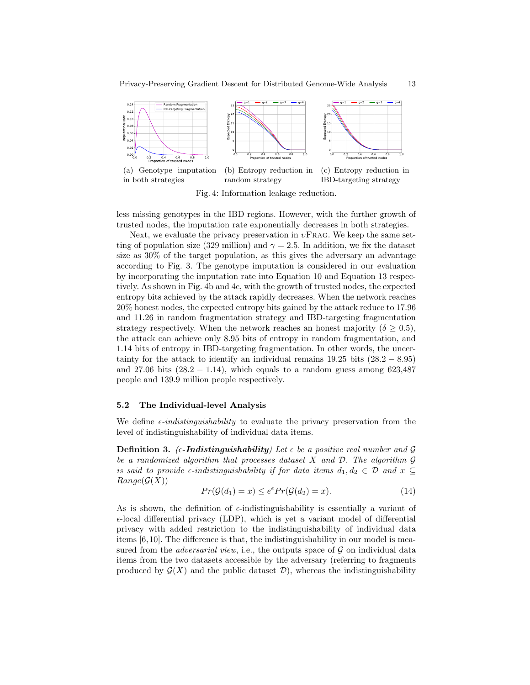

Fig. 4: Information leakage reduction.

less missing genotypes in the IBD regions. However, with the further growth of trusted nodes, the imputation rate exponentially decreases in both strategies.

Next, we evaluate the privacy preservation in  $v\text{FRAG}$ . We keep the same setting of population size (329 million) and  $\gamma = 2.5$ . In addition, we fix the dataset size as 30% of the target population, as this gives the adversary an advantage according to Fig. 3. The genotype imputation is considered in our evaluation by incorporating the imputation rate into Equation 10 and Equation 13 respectively. As shown in Fig. 4b and 4c, with the growth of trusted nodes, the expected entropy bits achieved by the attack rapidly decreases. When the network reaches 20% honest nodes, the expected entropy bits gained by the attack reduce to 17.96 and 11.26 in random fragmentation strategy and IBD-targeting fragmentation strategy respectively. When the network reaches an honest majority ( $\delta \geq 0.5$ ), the attack can achieve only 8.95 bits of entropy in random fragmentation, and 1.14 bits of entropy in IBD-targeting fragmentation. In other words, the uncertainty for the attack to identify an individual remains  $19.25$  bits  $(28.2 - 8.95)$ and 27.06 bits  $(28.2 - 1.14)$ , which equals to a random guess among 623,487 people and 139.9 million people respectively.

#### 5.2 The Individual-level Analysis

We define  $\epsilon$ -indistinguishability to evaluate the privacy preservation from the level of indistinguishability of individual data items.

**Definition 3.** ( $\epsilon$ -Indistinguishability) Let  $\epsilon$  be a positive real number and G be a randomized algorithm that processes dataset X and  $\mathcal{D}$ . The algorithm  $\mathcal G$ is said to provide  $\epsilon$ -indistinguishability if for data items  $d_1, d_2 \in \mathcal{D}$  and  $x \subseteq$  $Range(\mathcal{G}(X))$ 

$$
Pr(G(d_1) = x) \le e^{\epsilon} Pr(G(d_2) = x).
$$
\n(14)

As is shown, the definition of  $\epsilon$ -indistinguishability is essentially a variant of  $\epsilon$ -local differential privacy (LDP), which is yet a variant model of differential privacy with added restriction to the indistinguishability of individual data items [6,10]. The difference is that, the indistinguishability in our model is measured from the *adversarial view*, i.e., the outputs space of  $\mathcal G$  on individual data items from the two datasets accessible by the adversary (referring to fragments produced by  $\mathcal{G}(X)$  and the public dataset  $\mathcal{D}$ ), whereas the indistinguishability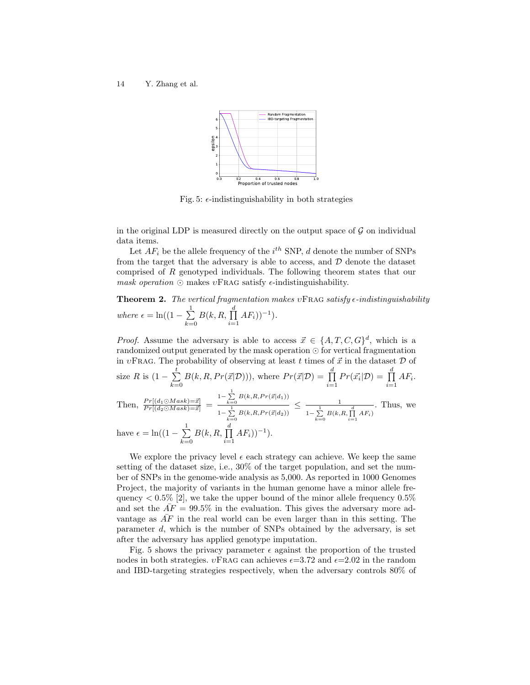

Fig. 5:  $\epsilon$ -indistinguishability in both strategies

in the original LDP is measured directly on the output space of  $\mathcal G$  on individual data items.

Let  $AF_i$  be the allele frequency of the  $i^{th}$  SNP, d denote the number of SNPs from the target that the adversary is able to access, and  $D$  denote the dataset comprised of R genotyped individuals. The following theorem states that our mask operation  $\odot$  makes  $v$ FRAG satisfy  $\epsilon$ -indistinguishability.

**Theorem 2.** The vertical fragmentation makes  $v$ FRAG satisfy  $\epsilon$ -indistinguishability where  $\epsilon = \ln((1 - \sum_{i=1}^{n}$  $_{k=0}$  $B(k, R, \prod^d$  $\prod_{i=1} H F_i$ <sub>1</sub> $)^{-1}$ .

*Proof.* Assume the adversary is able to access  $\vec{x} \in \{A, T, C, G\}^d$ , which is a randomized output generated by the mask operation  $\odot$  for vertical fragmentation in  $v\text{FRAG}$ . The probability of observing at least t times of  $\vec{x}$  in the dataset  $\mathcal D$  of size R is  $(1 - \sum_{i=1}^{t}$  $k=0$  $B(k, R, Pr(\vec{x}|\mathcal{D})))$ , where  $Pr(\vec{x}|\mathcal{D}) = \prod_{r=1}^{d}$  $\prod_{i=1}^d Pr(\vec{x_i}|\mathcal{D}) = \prod_{i=1}^d$  $\prod_{i=1} H F_i$ . Then,  $\frac{Pr[(d_1 \odot Mask)=\vec{x}]}{Pr[(d_2 \odot Mask)=\vec{x}]}$  =  $1-\sum_{k=0}^1 B(k, R, Pr(\vec{x}|d_1))$  $1-\sum_{k=0}^1B\big(k,\!R,\!Pr\big(\vec{x}\big|d_2\big)\big)$  $\leq$   $\frac{1}{1}$  $1-\sum_{k=0}^{1} B(k, R, \prod_{i=1}^{d} AF_i)$ . Thus, we have  $\epsilon = \ln((1 - \sum_{i=1}^{n}$  $k=0$  $B(k, R, \prod^d$  $\prod_{i=1} H F_i$ <sub>1</sub> $)^{-1}$ .

We explore the privacy level  $\epsilon$  each strategy can achieve. We keep the same setting of the dataset size, i.e., 30% of the target population, and set the number of SNPs in the genome-wide analysis as 5,000. As reported in 1000 Genomes Project, the majority of variants in the human genome have a minor allele frequency  $\lt 0.5\%$  [2], we take the upper bound of the minor allele frequency  $0.5\%$ and set the  $\overline{AF} = 99.5\%$  in the evaluation. This gives the adversary more advantage as  $\overline{AF}$  in the real world can be even larger than in this setting. The parameter d, which is the number of SNPs obtained by the adversary, is set after the adversary has applied genotype imputation.

Fig. 5 shows the privacy parameter  $\epsilon$  against the proportion of the trusted nodes in both strategies.  $vFRAG$  can achieves  $\epsilon = 3.72$  and  $\epsilon = 2.02$  in the random and IBD-targeting strategies respectively, when the adversary controls 80% of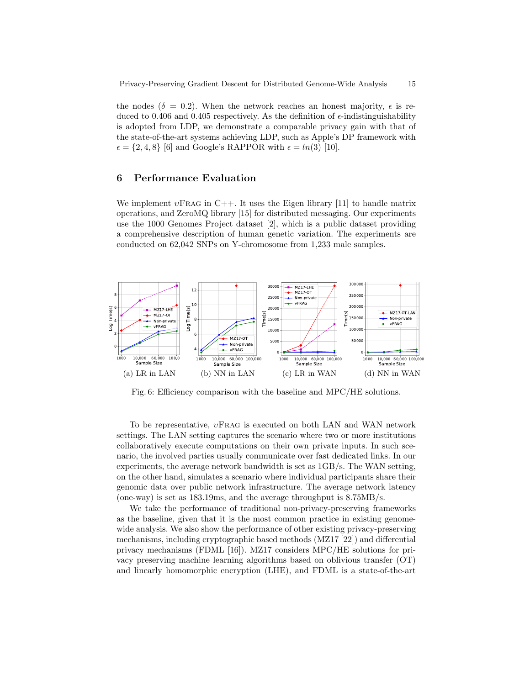the nodes ( $\delta = 0.2$ ). When the network reaches an honest majority,  $\epsilon$  is reduced to 0.406 and 0.405 respectively. As the definition of  $\epsilon$ -indistinguishability is adopted from LDP, we demonstrate a comparable privacy gain with that of the state-of-the-art systems achieving LDP, such as Apple's DP framework with  $\epsilon = \{2, 4, 8\}$  [6] and Google's RAPPOR with  $\epsilon = \ln(3)$  [10].

# 6 Performance Evaluation

We implement  $v\text{FRAG}$  in C++. It uses the Eigen library [11] to handle matrix operations, and ZeroMQ library [15] for distributed messaging. Our experiments use the 1000 Genomes Project dataset [2], which is a public dataset providing a comprehensive description of human genetic variation. The experiments are conducted on 62,042 SNPs on Y-chromosome from 1,233 male samples.



Fig. 6: Efficiency comparison with the baseline and MPC/HE solutions.

To be representative,  $vFRAG$  is executed on both LAN and WAN network settings. The LAN setting captures the scenario where two or more institutions collaboratively execute computations on their own private inputs. In such scenario, the involved parties usually communicate over fast dedicated links. In our experiments, the average network bandwidth is set as 1GB/s. The WAN setting, on the other hand, simulates a scenario where individual participants share their genomic data over public network infrastructure. The average network latency (one-way) is set as 183.19ms, and the average throughput is 8.75MB/s.

We take the performance of traditional non-privacy-preserving frameworks as the baseline, given that it is the most common practice in existing genomewide analysis. We also show the performance of other existing privacy-preserving mechanisms, including cryptographic based methods (MZ17 [22]) and differential privacy mechanisms (FDML [16]). MZ17 considers MPC/HE solutions for privacy preserving machine learning algorithms based on oblivious transfer (OT) and linearly homomorphic encryption (LHE), and FDML is a state-of-the-art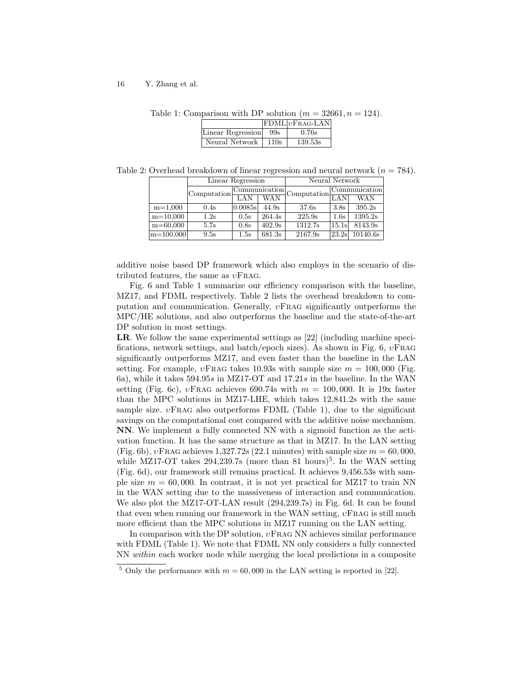|                   |      | $ FDML vFRAG-LAN $ |  |
|-------------------|------|--------------------|--|
| Linear Regression | 99s  | 0.76s              |  |
| Neural Network    | 110s | 139.53s            |  |

Table 1: Comparison with DP solution  $(m = 32661, n = 124)$ .

Table 2: Overhead breakdown of linear regression and neural network  $(n = 784)$ .

|              | Linear Regression |               |            | Neural Network                                                                                                                   |                  |            |  |
|--------------|-------------------|---------------|------------|----------------------------------------------------------------------------------------------------------------------------------|------------------|------------|--|
|              | Computation       | Communication |            |                                                                                                                                  | Communication    |            |  |
|              |                   | LAN           | <b>WAN</b> | $\label{eq:subm} \begin{array}{ll} \displaystyle\text{-}{\rm Computation}[\stackrel{\scriptstyle\circ}{\text{LAN}}] \end{array}$ |                  | <b>WAN</b> |  |
| $m=1,000$    | 0.4s              | 0.0085s       | 44.9s      | 37.6s                                                                                                                            | 3.8 <sub>s</sub> | 395.2s     |  |
| $m=10,000$   | 1.2s              | 0.5s          | 264.4s     | 225.9s                                                                                                                           | 1.6s             | 1395.2s    |  |
| $m = 60,000$ | 5.7s              | 0.8s          | 402.9s     | 1312.7s                                                                                                                          | 15.1s            | 8143.9s    |  |
| $m=100,000$  | 9.5s              | 1.5s          | 681.3s     | 2167.9s                                                                                                                          | 23.2s            | 10140.6s   |  |

additive noise based DP framework which also employs in the scenario of distributed features, the same as  $vFRAG$ .

Fig. 6 and Table 1 summarize our efficiency comparison with the baseline, MZ17, and FDML respectively. Table 2 lists the overhead breakdown to computation and communication. Generally,  $v$ FRAG significantly outperforms the MPC/HE solutions, and also outperforms the baseline and the state-of-the-art DP solution in most settings.

LR. We follow the same experimental settings as [22] (including machine specifications, network settings, and batch/epoch sizes). As shown in Fig. 6,  $vFRAG$ significantly outperforms MZ17, and even faster than the baseline in the LAN setting. For example,  $v\text{Frag takes }10.93s$  with sample size  $m = 100,000$  (Fig. 6a), while it takes 594.95s in MZ17-OT and 17.21s in the baseline. In the WAN setting (Fig. 6c),  $v\text{FRAG}$  achieves 690.74s with  $m = 100,000$ . It is 19x faster than the MPC solutions in MZ17-LHE, which takes 12,841.2s with the same sample size.  $v\text{FRAG}$  also outperforms FDML (Table 1), due to the significant savings on the computational cost compared with the additive noise mechanism. NN. We implement a fully connected NN with a sigmoid function as the activation function. It has the same structure as that in MZ17. In the LAN setting (Fig. 6b),  $v$ Frag achieves 1,327.72s (22.1 minutes) with sample size  $m = 60,000$ , while MZ17-OT takes  $294,239.7s$  (more than 81 hours)<sup>5</sup>. In the WAN setting (Fig. 6d), our framework still remains practical. It achieves 9,456.53s with sample size  $m = 60,000$ . In contrast, it is not yet practical for MZ17 to train NN in the WAN setting due to the massiveness of interaction and communication. We also plot the MZ17-OT-LAN result (294,239.7s) in Fig. 6d. It can be found that even when running our framework in the WAN setting,  $v$ FRAG is still much more efficient than the MPC solutions in MZ17 running on the LAN setting.

In comparison with the DP solution,  $v\text{Frag NN}$  achieves similar performance with FDML (Table 1). We note that FDML NN only considers a fully connected NN within each worker node while merging the local predictions in a composite

<sup>&</sup>lt;sup>5</sup> Only the performance with  $m = 60,000$  in the LAN setting is reported in [22].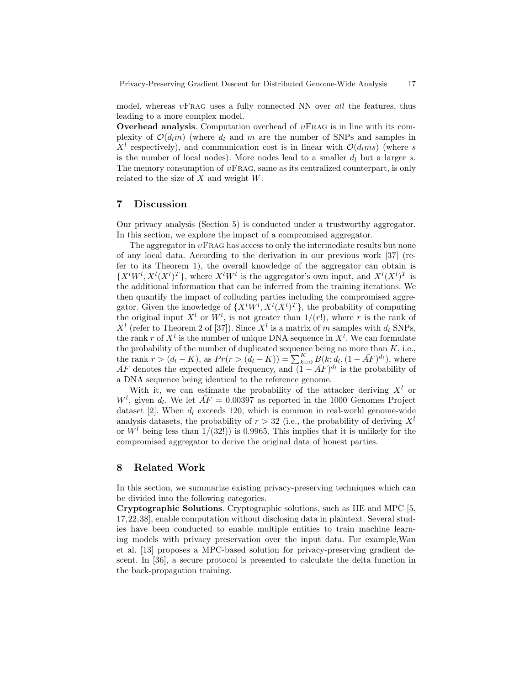model, whereas  $v$ FRAG uses a fully connected NN over all the features, thus leading to a more complex model.

**Overhead analysis.** Computation overhead of  $vFRAG$  is in line with its complexity of  $\mathcal{O}(d_l m)$  (where  $d_l$  and m are the number of SNPs and samples in  $X<sup>l</sup>$  respectively), and communication cost is in linear with  $\mathcal{O}(d_lms)$  (where s is the number of local nodes). More nodes lead to a smaller  $d_l$  but a larger s. The memory consumption of  $vFRAG$ , same as its centralized counterpart, is only related to the size of  $X$  and weight  $W$ .

# 7 Discussion

Our privacy analysis (Section 5) is conducted under a trustworthy aggregator. In this section, we explore the impact of a compromised aggregator.

The aggregator in  $v\text{FRAG}$  has access to only the intermediate results but none of any local data. According to the derivation in our previous work [37] (refer to its Theorem 1), the overall knowledge of the aggregator can obtain is  $\{X^lW^l, X^l(X^l)^T\}$ , where  $X^lW^l$  is the aggregator's own input, and  $X^l(X^l)^T$  is the additional information that can be inferred from the training iterations. We then quantify the impact of colluding parties including the compromised aggregator. Given the knowledge of  $\{X^lW^l, X^l(X^l)^T\}$ , the probability of computing the original input  $X^l$  or  $W^l$ , is not greater than  $1/(r!)$ , where r is the rank of  $X<sup>l</sup>$  (refer to Theorem 2 of [37]). Since  $X<sup>l</sup>$  is a matrix of m samples with  $d_l$  SNPs, the rank r of  $X^l$  is the number of unique DNA sequence in  $X^l$ . We can formulate the probability of the number of duplicated sequence being no more than  $K$ , i.e., the rank  $r > (d_l - K)$ , as  $Pr(r > (d_l - K)) = \sum_{k=0}^{K} B(k; d_l, (1 - \bar{AF})^{d_l})$ , where  $\overline{AF}$  denotes the expected allele frequency, and  $(1 - \overline{AF})^{d_l}$  is the probability of a DNA sequence being identical to the reference genome.

With it, we can estimate the probability of the attacker deriving  $X<sup>l</sup>$  or  $W^l$ , given  $d_l$ . We let  $\overline{AF} = 0.00397$  as reported in the 1000 Genomes Project dataset [2]. When  $d_l$  exceeds 120, which is common in real-world genome-wide analysis datasets, the probability of  $r > 32$  (i.e., the probability of deriving  $X<sup>l</sup>$ or  $W<sup>l</sup>$  being less than  $1/(32!)$  is 0.9965. This implies that it is unlikely for the compromised aggregator to derive the original data of honest parties.

### 8 Related Work

In this section, we summarize existing privacy-preserving techniques which can be divided into the following categories.

Cryptographic Solutions. Cryptographic solutions, such as HE and MPC [5, 17,22,38], enable computation without disclosing data in plaintext. Several studies have been conducted to enable multiple entities to train machine learning models with privacy preservation over the input data. For example,Wan et al. [13] proposes a MPC-based solution for privacy-preserving gradient descent. In [36], a secure protocol is presented to calculate the delta function in the back-propagation training.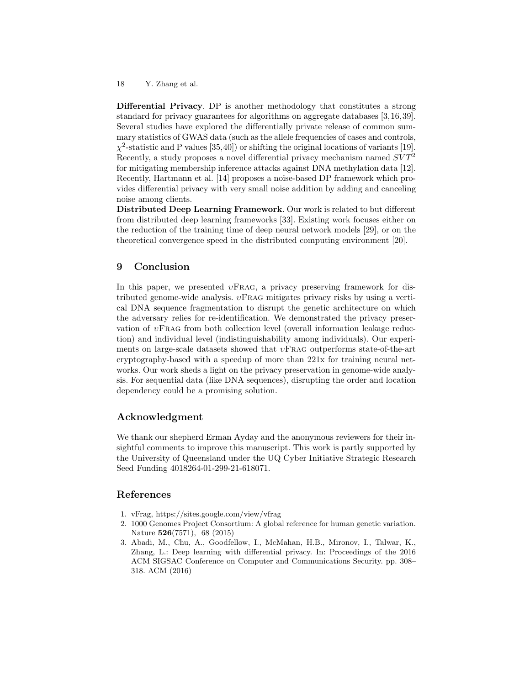Differential Privacy. DP is another methodology that constitutes a strong standard for privacy guarantees for algorithms on aggregate databases [3,16,39]. Several studies have explored the differentially private release of common summary statistics of GWAS data (such as the allele frequencies of cases and controls,  $\chi^2$ -statistic and P values [35,40]) or shifting the original locations of variants [19]. Recently, a study proposes a novel differential privacy mechanism named  $SVT^2$ for mitigating membership inference attacks against DNA methylation data [12]. Recently, Hartmann et al. [14] proposes a noise-based DP framework which provides differential privacy with very small noise addition by adding and canceling noise among clients.

Distributed Deep Learning Framework. Our work is related to but different from distributed deep learning frameworks [33]. Existing work focuses either on the reduction of the training time of deep neural network models [29], or on the theoretical convergence speed in the distributed computing environment [20].

# 9 Conclusion

In this paper, we presented  $vFRAG$ , a privacy preserving framework for distributed genome-wide analysis.  $v$ FRAG mitigates privacy risks by using a vertical DNA sequence fragmentation to disrupt the genetic architecture on which the adversary relies for re-identification. We demonstrated the privacy preservation of υFrag from both collection level (overall information leakage reduction) and individual level (indistinguishability among individuals). Our experiments on large-scale datasets showed that  $vFRAG$  outperforms state-of-the-art cryptography-based with a speedup of more than 221x for training neural networks. Our work sheds a light on the privacy preservation in genome-wide analysis. For sequential data (like DNA sequences), disrupting the order and location dependency could be a promising solution.

### Acknowledgment

We thank our shepherd Erman Ayday and the anonymous reviewers for their insightful comments to improve this manuscript. This work is partly supported by the University of Queensland under the UQ Cyber Initiative Strategic Research Seed Funding 4018264-01-299-21-618071.

### References

- 1. vFrag, https://sites.google.com/view/vfrag
- 2. 1000 Genomes Project Consortium: A global reference for human genetic variation. Nature 526(7571), 68 (2015)
- 3. Abadi, M., Chu, A., Goodfellow, I., McMahan, H.B., Mironov, I., Talwar, K., Zhang, L.: Deep learning with differential privacy. In: Proceedings of the 2016 ACM SIGSAC Conference on Computer and Communications Security. pp. 308– 318. ACM (2016)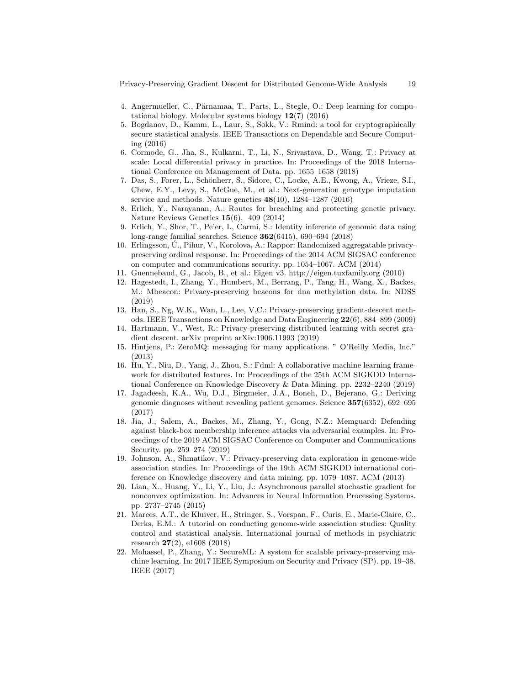Privacy-Preserving Gradient Descent for Distributed Genome-Wide Analysis 19

- 4. Angermueller, C., Pärnamaa, T., Parts, L., Stegle, O.: Deep learning for computational biology. Molecular systems biology 12(7) (2016)
- 5. Bogdanov, D., Kamm, L., Laur, S., Sokk, V.: Rmind: a tool for cryptographically secure statistical analysis. IEEE Transactions on Dependable and Secure Computing (2016)
- 6. Cormode, G., Jha, S., Kulkarni, T., Li, N., Srivastava, D., Wang, T.: Privacy at scale: Local differential privacy in practice. In: Proceedings of the 2018 International Conference on Management of Data. pp. 1655–1658 (2018)
- 7. Das, S., Forer, L., Schönherr, S., Sidore, C., Locke, A.E., Kwong, A., Vrieze, S.I., Chew, E.Y., Levy, S., McGue, M., et al.: Next-generation genotype imputation service and methods. Nature genetics  $48(10)$ , 1284–1287 (2016)
- 8. Erlich, Y., Narayanan, A.: Routes for breaching and protecting genetic privacy. Nature Reviews Genetics 15(6), 409 (2014)
- 9. Erlich, Y., Shor, T., Pe'er, I., Carmi, S.: Identity inference of genomic data using long-range familial searches. Science 362(6415), 690–694 (2018)
- 10. Erlingsson, U., Pihur, V., Korolova, A.: Rappor: Randomized aggregatable privacy- ´ preserving ordinal response. In: Proceedings of the 2014 ACM SIGSAC conference on computer and communications security. pp. 1054–1067. ACM (2014)
- 11. Guennebaud, G., Jacob, B., et al.: Eigen v3. http://eigen.tuxfamily.org (2010)
- 12. Hagestedt, I., Zhang, Y., Humbert, M., Berrang, P., Tang, H., Wang, X., Backes, M.: Mbeacon: Privacy-preserving beacons for dna methylation data. In: NDSS (2019)
- 13. Han, S., Ng, W.K., Wan, L., Lee, V.C.: Privacy-preserving gradient-descent methods. IEEE Transactions on Knowledge and Data Engineering 22(6), 884–899 (2009)
- 14. Hartmann, V., West, R.: Privacy-preserving distributed learning with secret gradient descent. arXiv preprint arXiv:1906.11993 (2019)
- 15. Hintjens, P.: ZeroMQ: messaging for many applications. " O'Reilly Media, Inc." (2013)
- 16. Hu, Y., Niu, D., Yang, J., Zhou, S.: Fdml: A collaborative machine learning framework for distributed features. In: Proceedings of the 25th ACM SIGKDD International Conference on Knowledge Discovery & Data Mining. pp. 2232–2240 (2019)
- 17. Jagadeesh, K.A., Wu, D.J., Birgmeier, J.A., Boneh, D., Bejerano, G.: Deriving genomic diagnoses without revealing patient genomes. Science 357(6352), 692–695 (2017)
- 18. Jia, J., Salem, A., Backes, M., Zhang, Y., Gong, N.Z.: Memguard: Defending against black-box membership inference attacks via adversarial examples. In: Proceedings of the 2019 ACM SIGSAC Conference on Computer and Communications Security. pp. 259–274 (2019)
- 19. Johnson, A., Shmatikov, V.: Privacy-preserving data exploration in genome-wide association studies. In: Proceedings of the 19th ACM SIGKDD international conference on Knowledge discovery and data mining. pp. 1079–1087. ACM (2013)
- 20. Lian, X., Huang, Y., Li, Y., Liu, J.: Asynchronous parallel stochastic gradient for nonconvex optimization. In: Advances in Neural Information Processing Systems. pp. 2737–2745 (2015)
- 21. Marees, A.T., de Kluiver, H., Stringer, S., Vorspan, F., Curis, E., Marie-Claire, C., Derks, E.M.: A tutorial on conducting genome-wide association studies: Quality control and statistical analysis. International journal of methods in psychiatric research 27(2), e1608 (2018)
- 22. Mohassel, P., Zhang, Y.: SecureML: A system for scalable privacy-preserving machine learning. In: 2017 IEEE Symposium on Security and Privacy (SP). pp. 19–38. IEEE (2017)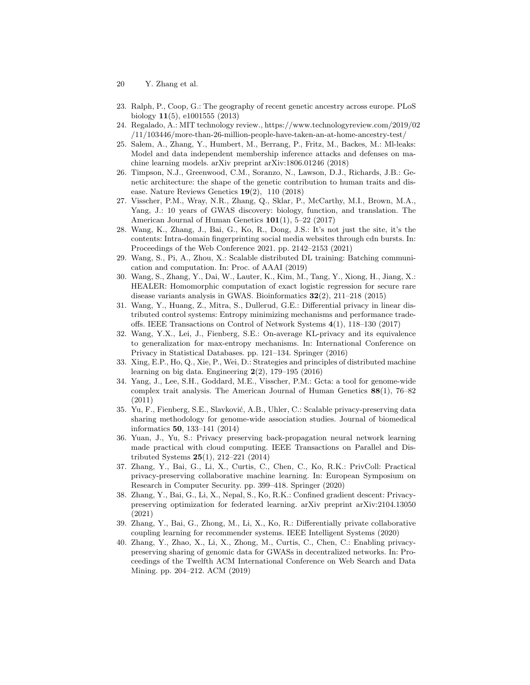- 20 Y. Zhang et al.
- 23. Ralph, P., Coop, G.: The geography of recent genetic ancestry across europe. PLoS biology 11(5), e1001555 (2013)
- 24. Regalado, A.: MIT technology review., https://www.technologyreview.com/2019/02 /11/103446/more-than-26-million-people-have-taken-an-at-home-ancestry-test/
- 25. Salem, A., Zhang, Y., Humbert, M., Berrang, P., Fritz, M., Backes, M.: Ml-leaks: Model and data independent membership inference attacks and defenses on machine learning models. arXiv preprint arXiv:1806.01246 (2018)
- 26. Timpson, N.J., Greenwood, C.M., Soranzo, N., Lawson, D.J., Richards, J.B.: Genetic architecture: the shape of the genetic contribution to human traits and disease. Nature Reviews Genetics 19(2), 110 (2018)
- 27. Visscher, P.M., Wray, N.R., Zhang, Q., Sklar, P., McCarthy, M.I., Brown, M.A., Yang, J.: 10 years of GWAS discovery: biology, function, and translation. The American Journal of Human Genetics 101(1), 5–22 (2017)
- 28. Wang, K., Zhang, J., Bai, G., Ko, R., Dong, J.S.: It's not just the site, it's the contents: Intra-domain fingerprinting social media websites through cdn bursts. In: Proceedings of the Web Conference 2021. pp. 2142–2153 (2021)
- 29. Wang, S., Pi, A., Zhou, X.: Scalable distributed DL training: Batching communication and computation. In: Proc. of AAAI (2019)
- 30. Wang, S., Zhang, Y., Dai, W., Lauter, K., Kim, M., Tang, Y., Xiong, H., Jiang, X.: HEALER: Homomorphic computation of exact logistic regression for secure rare disease variants analysis in GWAS. Bioinformatics  $32(2)$ ,  $211-218$  (2015)
- 31. Wang, Y., Huang, Z., Mitra, S., Dullerud, G.E.: Differential privacy in linear distributed control systems: Entropy minimizing mechanisms and performance tradeoffs. IEEE Transactions on Control of Network Systems 4(1), 118–130 (2017)
- 32. Wang, Y.X., Lei, J., Fienberg, S.E.: On-average KL-privacy and its equivalence to generalization for max-entropy mechanisms. In: International Conference on Privacy in Statistical Databases. pp. 121–134. Springer (2016)
- 33. Xing, E.P., Ho, Q., Xie, P., Wei, D.: Strategies and principles of distributed machine learning on big data. Engineering  $2(2)$ , 179–195 (2016)
- 34. Yang, J., Lee, S.H., Goddard, M.E., Visscher, P.M.: Gcta: a tool for genome-wide complex trait analysis. The American Journal of Human Genetics 88(1), 76–82 (2011)
- 35. Yu, F., Fienberg, S.E., Slavković, A.B., Uhler, C.: Scalable privacy-preserving data sharing methodology for genome-wide association studies. Journal of biomedical informatics 50, 133–141 (2014)
- 36. Yuan, J., Yu, S.: Privacy preserving back-propagation neural network learning made practical with cloud computing. IEEE Transactions on Parallel and Distributed Systems 25(1), 212–221 (2014)
- 37. Zhang, Y., Bai, G., Li, X., Curtis, C., Chen, C., Ko, R.K.: PrivColl: Practical privacy-preserving collaborative machine learning. In: European Symposium on Research in Computer Security. pp. 399–418. Springer (2020)
- 38. Zhang, Y., Bai, G., Li, X., Nepal, S., Ko, R.K.: Confined gradient descent: Privacypreserving optimization for federated learning. arXiv preprint arXiv:2104.13050 (2021)
- 39. Zhang, Y., Bai, G., Zhong, M., Li, X., Ko, R.: Differentially private collaborative coupling learning for recommender systems. IEEE Intelligent Systems (2020)
- 40. Zhang, Y., Zhao, X., Li, X., Zhong, M., Curtis, C., Chen, C.: Enabling privacypreserving sharing of genomic data for GWASs in decentralized networks. In: Proceedings of the Twelfth ACM International Conference on Web Search and Data Mining. pp. 204–212. ACM (2019)